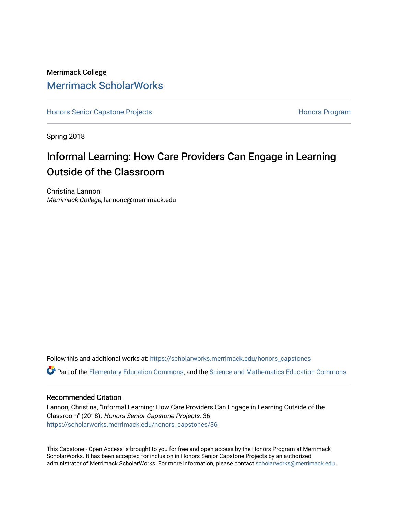# Merrimack College [Merrimack ScholarWorks](https://scholarworks.merrimack.edu/)

[Honors Senior Capstone Projects](https://scholarworks.merrimack.edu/honors_capstones) **Honors Program** Honors Program

Spring 2018

# Informal Learning: How Care Providers Can Engage in Learning Outside of the Classroom

Christina Lannon Merrimack College, lannonc@merrimack.edu

Follow this and additional works at: [https://scholarworks.merrimack.edu/honors\\_capstones](https://scholarworks.merrimack.edu/honors_capstones?utm_source=scholarworks.merrimack.edu%2Fhonors_capstones%2F36&utm_medium=PDF&utm_campaign=PDFCoverPages)

Part of the [Elementary Education Commons,](http://network.bepress.com/hgg/discipline/1378?utm_source=scholarworks.merrimack.edu%2Fhonors_capstones%2F36&utm_medium=PDF&utm_campaign=PDFCoverPages) and the [Science and Mathematics Education Commons](http://network.bepress.com/hgg/discipline/800?utm_source=scholarworks.merrimack.edu%2Fhonors_capstones%2F36&utm_medium=PDF&utm_campaign=PDFCoverPages) 

## Recommended Citation

Lannon, Christina, "Informal Learning: How Care Providers Can Engage in Learning Outside of the Classroom" (2018). Honors Senior Capstone Projects. 36. [https://scholarworks.merrimack.edu/honors\\_capstones/36](https://scholarworks.merrimack.edu/honors_capstones/36?utm_source=scholarworks.merrimack.edu%2Fhonors_capstones%2F36&utm_medium=PDF&utm_campaign=PDFCoverPages) 

This Capstone - Open Access is brought to you for free and open access by the Honors Program at Merrimack ScholarWorks. It has been accepted for inclusion in Honors Senior Capstone Projects by an authorized administrator of Merrimack ScholarWorks. For more information, please contact [scholarworks@merrimack.edu](mailto:scholarworks@merrimack.edu).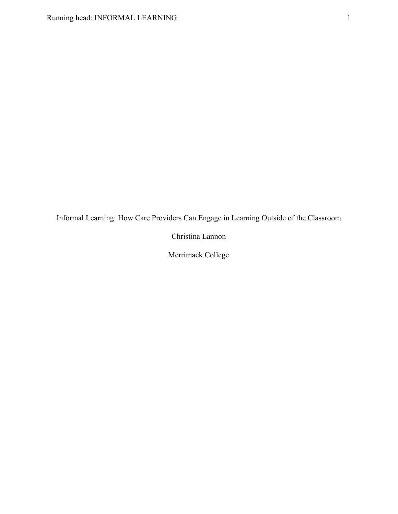Informal Learning: How Care Providers Can Engage in Learning Outside of the Classroom

Christina Lannon

Merrimack College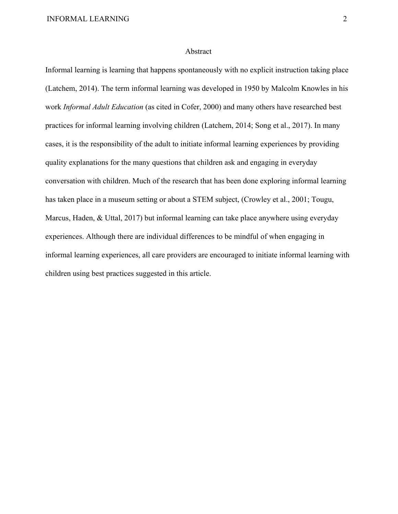#### Abstract

Informal learning is learning that happens spontaneously with no explicit instruction taking place (Latchem, 2014). The term informal learning was developed in 1950 by Malcolm Knowles in his work *Informal Adult Education* (as cited in Cofer, 2000) and many others have researched best practices for informal learning involving children (Latchem, 2014; Song et al., 2017). In many cases, it is the responsibility of the adult to initiate informal learning experiences by providing quality explanations for the many questions that children ask and engaging in everyday conversation with children. Much of the research that has been done exploring informal learning has taken place in a museum setting or about a STEM subject, (Crowley et al., 2001; Tougu, Marcus, Haden, & Uttal, 2017) but informal learning can take place anywhere using everyday experiences. Although there are individual differences to be mindful of when engaging in informal learning experiences, all care providers are encouraged to initiate informal learning with children using best practices suggested in this article.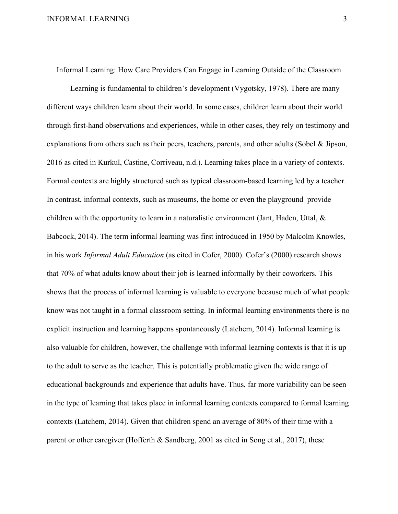Informal Learning: How Care Providers Can Engage in Learning Outside of the Classroom

Learning is fundamental to children's development (Vygotsky, 1978). There are many different ways children learn about their world. In some cases, children learn about their world through first-hand observations and experiences, while in other cases, they rely on testimony and explanations from others such as their peers, teachers, parents, and other adults (Sobel & Jipson, 2016 as cited in Kurkul, Castine, Corriveau, n.d.). Learning takes place in a variety of contexts. Formal contexts are highly structured such as typical classroom-based learning led by a teacher. In contrast, informal contexts, such as museums, the home or even the playground provide children with the opportunity to learn in a naturalistic environment (Jant, Haden, Uttal, & Babcock, 2014). The term informal learning was first introduced in 1950 by Malcolm Knowles, in his work *Informal Adult Education* (as cited in Cofer, 2000). Cofer's (2000) research shows that 70% of what adults know about their job is learned informally by their coworkers. This shows that the process of informal learning is valuable to everyone because much of what people know was not taught in a formal classroom setting. In informal learning environments there is no explicit instruction and learning happens spontaneously (Latchem, 2014). Informal learning is also valuable for children, however, the challenge with informal learning contexts is that it is up to the adult to serve as the teacher. This is potentially problematic given the wide range of educational backgrounds and experience that adults have. Thus, far more variability can be seen in the type of learning that takes place in informal learning contexts compared to formal learning contexts (Latchem, 2014). Given that children spend an average of 80% of their time with a parent or other caregiver (Hofferth & Sandberg, 2001 as cited in Song et al., 2017), these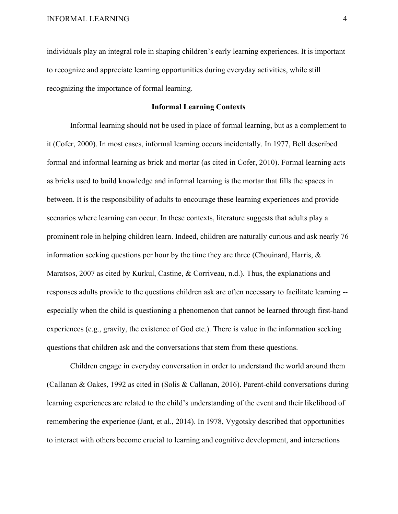individuals play an integral role in shaping children's early learning experiences. It is important to recognize and appreciate learning opportunities during everyday activities, while still recognizing the importance of formal learning.

# **Informal Learning Contexts**

Informal learning should not be used in place of formal learning, but as a complement to it (Cofer, 2000). In most cases, informal learning occurs incidentally. In 1977, Bell described formal and informal learning as brick and mortar (as cited in Cofer, 2010). Formal learning acts as bricks used to build knowledge and informal learning is the mortar that fills the spaces in between. It is the responsibility of adults to encourage these learning experiences and provide scenarios where learning can occur. In these contexts, literature suggests that adults play a prominent role in helping children learn. Indeed, children are naturally curious and ask nearly 76 information seeking questions per hour by the time they are three (Chouinard, Harris, & Maratsos, 2007 as cited by Kurkul, Castine, & Corriveau, n.d.). Thus, the explanations and responses adults provide to the questions children ask are often necessary to facilitate learning - especially when the child is questioning a phenomenon that cannot be learned through first-hand experiences (e.g., gravity, the existence of God etc.). There is value in the information seeking questions that children ask and the conversations that stem from these questions.

Children engage in everyday conversation in order to understand the world around them (Callanan & Oakes, 1992 as cited in (Solis & Callanan, 2016). Parent-child conversations during learning experiences are related to the child's understanding of the event and their likelihood of remembering the experience (Jant, et al., 2014). In 1978, Vygotsky described that opportunities to interact with others become crucial to learning and cognitive development, and interactions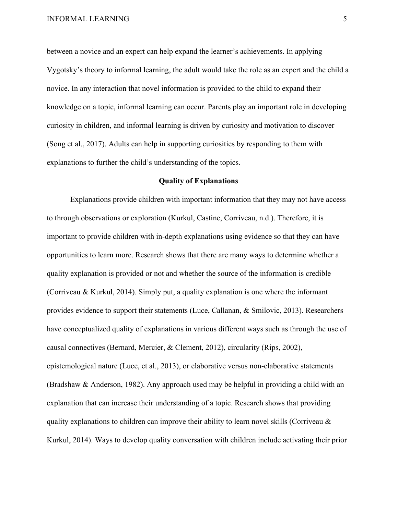between a novice and an expert can help expand the learner's achievements. In applying Vygotsky's theory to informal learning, the adult would take the role as an expert and the child a novice. In any interaction that novel information is provided to the child to expand their knowledge on a topic, informal learning can occur. Parents play an important role in developing curiosity in children, and informal learning is driven by curiosity and motivation to discover (Song et al., 2017). Adults can help in supporting curiosities by responding to them with explanations to further the child's understanding of the topics.

#### **Quality of Explanations**

Explanations provide children with important information that they may not have access to through observations or exploration (Kurkul, Castine, Corriveau, n.d.). Therefore, it is important to provide children with in-depth explanations using evidence so that they can have opportunities to learn more. Research shows that there are many ways to determine whether a quality explanation is provided or not and whether the source of the information is credible (Corriveau & Kurkul, 2014). Simply put, a quality explanation is one where the informant provides evidence to support their statements (Luce, Callanan, & Smilovic, 2013). Researchers have conceptualized quality of explanations in various different ways such as through the use of causal connectives (Bernard, Mercier, & Clement, 2012), circularity (Rips, 2002), epistemological nature (Luce, et al., 2013), or elaborative versus non-elaborative statements (Bradshaw & Anderson, 1982). Any approach used may be helpful in providing a child with an explanation that can increase their understanding of a topic. Research shows that providing quality explanations to children can improve their ability to learn novel skills (Corriveau  $\&$ Kurkul, 2014). Ways to develop quality conversation with children include activating their prior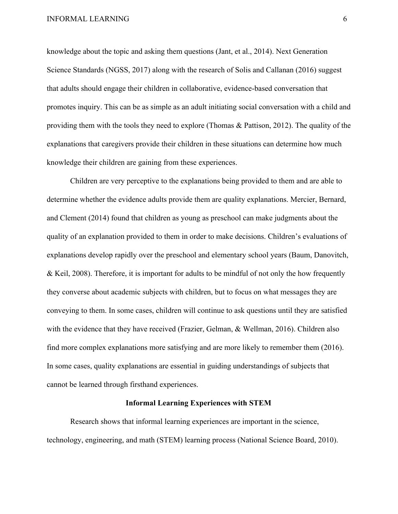knowledge about the topic and asking them questions (Jant, et al., 2014). Next Generation Science Standards (NGSS, 2017) along with the research of Solis and Callanan (2016) suggest that adults should engage their children in collaborative, evidence-based conversation that promotes inquiry. This can be as simple as an adult initiating social conversation with a child and providing them with the tools they need to explore (Thomas & Pattison, 2012). The quality of the explanations that caregivers provide their children in these situations can determine how much knowledge their children are gaining from these experiences.

Children are very perceptive to the explanations being provided to them and are able to determine whether the evidence adults provide them are quality explanations. Mercier, Bernard, and Clement (2014) found that children as young as preschool can make judgments about the quality of an explanation provided to them in order to make decisions. Children's evaluations of explanations develop rapidly over the preschool and elementary school years (Baum, Danovitch, & Keil, 2008). Therefore, it is important for adults to be mindful of not only the how frequently they converse about academic subjects with children, but to focus on what messages they are conveying to them. In some cases, children will continue to ask questions until they are satisfied with the evidence that they have received (Frazier, Gelman, & Wellman, 2016). Children also find more complex explanations more satisfying and are more likely to remember them (2016). In some cases, quality explanations are essential in guiding understandings of subjects that cannot be learned through firsthand experiences.

### **Informal Learning Experiences with STEM**

Research shows that informal learning experiences are important in the science, technology, engineering, and math (STEM) learning process (National Science Board, 2010).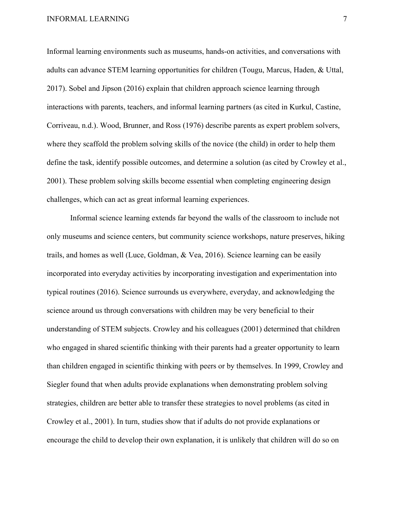Informal learning environments such as museums, hands-on activities, and conversations with adults can advance STEM learning opportunities for children (Tougu, Marcus, Haden, & Uttal, 2017). Sobel and Jipson (2016) explain that children approach science learning through interactions with parents, teachers, and informal learning partners (as cited in Kurkul, Castine, Corriveau, n.d.). Wood, Brunner, and Ross (1976) describe parents as expert problem solvers, where they scaffold the problem solving skills of the novice (the child) in order to help them define the task, identify possible outcomes, and determine a solution (as cited by Crowley et al., 2001). These problem solving skills become essential when completing engineering design challenges, which can act as great informal learning experiences.

Informal science learning extends far beyond the walls of the classroom to include not only museums and science centers, but community science workshops, nature preserves, hiking trails, and homes as well (Luce, Goldman, & Vea, 2016). Science learning can be easily incorporated into everyday activities by incorporating investigation and experimentation into typical routines (2016). Science surrounds us everywhere, everyday, and acknowledging the science around us through conversations with children may be very beneficial to their understanding of STEM subjects. Crowley and his colleagues (2001) determined that children who engaged in shared scientific thinking with their parents had a greater opportunity to learn than children engaged in scientific thinking with peers or by themselves. In 1999, Crowley and Siegler found that when adults provide explanations when demonstrating problem solving strategies, children are better able to transfer these strategies to novel problems (as cited in Crowley et al., 2001). In turn, studies show that if adults do not provide explanations or encourage the child to develop their own explanation, it is unlikely that children will do so on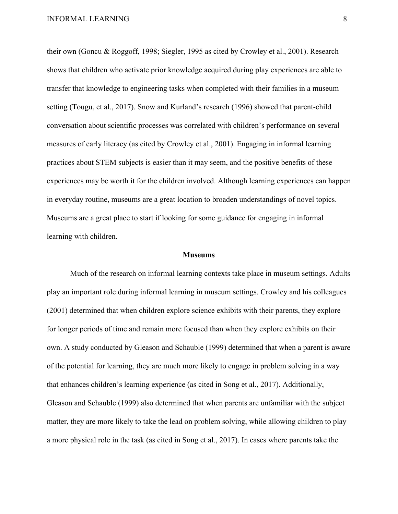their own (Goncu & Roggoff, 1998; Siegler, 1995 as cited by Crowley et al., 2001). Research shows that children who activate prior knowledge acquired during play experiences are able to transfer that knowledge to engineering tasks when completed with their families in a museum setting (Tougu, et al., 2017). Snow and Kurland's research (1996) showed that parent-child conversation about scientific processes was correlated with children's performance on several measures of early literacy (as cited by Crowley et al., 2001). Engaging in informal learning practices about STEM subjects is easier than it may seem, and the positive benefits of these experiences may be worth it for the children involved. Although learning experiences can happen in everyday routine, museums are a great location to broaden understandings of novel topics. Museums are a great place to start if looking for some guidance for engaging in informal learning with children.

#### **Museums**

Much of the research on informal learning contexts take place in museum settings. Adults play an important role during informal learning in museum settings. Crowley and his colleagues (2001) determined that when children explore science exhibits with their parents, they explore for longer periods of time and remain more focused than when they explore exhibits on their own. A study conducted by Gleason and Schauble (1999) determined that when a parent is aware of the potential for learning, they are much more likely to engage in problem solving in a way that enhances children's learning experience (as cited in Song et al., 2017). Additionally, Gleason and Schauble (1999) also determined that when parents are unfamiliar with the subject matter, they are more likely to take the lead on problem solving, while allowing children to play a more physical role in the task (as cited in Song et al., 2017). In cases where parents take the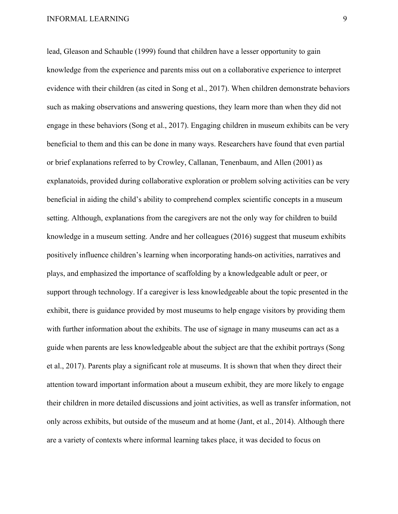lead, Gleason and Schauble (1999) found that children have a lesser opportunity to gain knowledge from the experience and parents miss out on a collaborative experience to interpret evidence with their children (as cited in Song et al., 2017). When children demonstrate behaviors such as making observations and answering questions, they learn more than when they did not engage in these behaviors (Song et al., 2017). Engaging children in museum exhibits can be very beneficial to them and this can be done in many ways. Researchers have found that even partial or brief explanations referred to by Crowley, Callanan, Tenenbaum, and Allen (2001) as explanatoids, provided during collaborative exploration or problem solving activities can be very beneficial in aiding the child's ability to comprehend complex scientific concepts in a museum setting. Although, explanations from the caregivers are not the only way for children to build knowledge in a museum setting. Andre and her colleagues (2016) suggest that museum exhibits positively influence children's learning when incorporating hands-on activities, narratives and plays, and emphasized the importance of scaffolding by a knowledgeable adult or peer, or support through technology. If a caregiver is less knowledgeable about the topic presented in the exhibit, there is guidance provided by most museums to help engage visitors by providing them with further information about the exhibits. The use of signage in many museums can act as a guide when parents are less knowledgeable about the subject are that the exhibit portrays (Song et al., 2017). Parents play a significant role at museums. It is shown that when they direct their attention toward important information about a museum exhibit, they are more likely to engage their children in more detailed discussions and joint activities, as well as transfer information, not only across exhibits, but outside of the museum and at home (Jant, et al., 2014). Although there are a variety of contexts where informal learning takes place, it was decided to focus on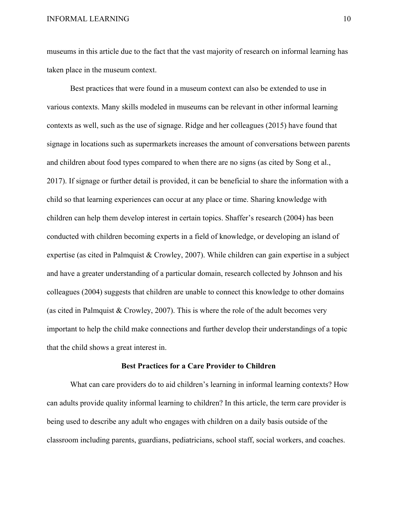museums in this article due to the fact that the vast majority of research on informal learning has taken place in the museum context.

Best practices that were found in a museum context can also be extended to use in various contexts. Many skills modeled in museums can be relevant in other informal learning contexts as well, such as the use of signage. Ridge and her colleagues (2015) have found that signage in locations such as supermarkets increases the amount of conversations between parents and children about food types compared to when there are no signs (as cited by Song et al., 2017). If signage or further detail is provided, it can be beneficial to share the information with a child so that learning experiences can occur at any place or time. Sharing knowledge with children can help them develop interest in certain topics. Shaffer's research (2004) has been conducted with children becoming experts in a field of knowledge, or developing an island of expertise (as cited in Palmquist & Crowley, 2007). While children can gain expertise in a subject and have a greater understanding of a particular domain, research collected by Johnson and his colleagues (2004) suggests that children are unable to connect this knowledge to other domains (as cited in Palmquist  $&$  Crowley, 2007). This is where the role of the adult becomes very important to help the child make connections and further develop their understandings of a topic that the child shows a great interest in.

#### **Best Practices for a Care Provider to Children**

What can care providers do to aid children's learning in informal learning contexts? How can adults provide quality informal learning to children? In this article, the term care provider is being used to describe any adult who engages with children on a daily basis outside of the classroom including parents, guardians, pediatricians, school staff, social workers, and coaches.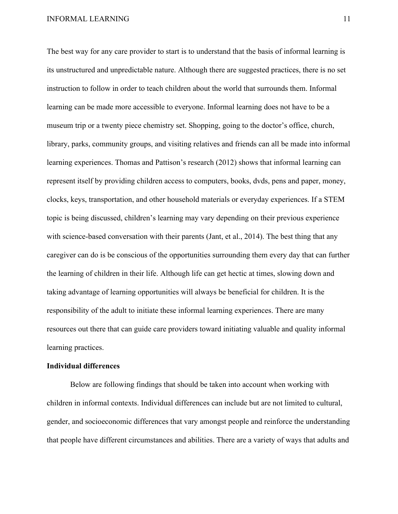The best way for any care provider to start is to understand that the basis of informal learning is its unstructured and unpredictable nature. Although there are suggested practices, there is no set instruction to follow in order to teach children about the world that surrounds them. Informal learning can be made more accessible to everyone. Informal learning does not have to be a museum trip or a twenty piece chemistry set. Shopping, going to the doctor's office, church, library, parks, community groups, and visiting relatives and friends can all be made into informal learning experiences. Thomas and Pattison's research (2012) shows that informal learning can represent itself by providing children access to computers, books, dvds, pens and paper, money, clocks, keys, transportation, and other household materials or everyday experiences. If a STEM topic is being discussed, children's learning may vary depending on their previous experience with science-based conversation with their parents (Jant, et al., 2014). The best thing that any caregiver can do is be conscious of the opportunities surrounding them every day that can further the learning of children in their life. Although life can get hectic at times, slowing down and taking advantage of learning opportunities will always be beneficial for children. It is the responsibility of the adult to initiate these informal learning experiences. There are many resources out there that can guide care providers toward initiating valuable and quality informal learning practices.

#### **Individual differences**

Below are following findings that should be taken into account when working with children in informal contexts. Individual differences can include but are not limited to cultural, gender, and socioeconomic differences that vary amongst people and reinforce the understanding that people have different circumstances and abilities. There are a variety of ways that adults and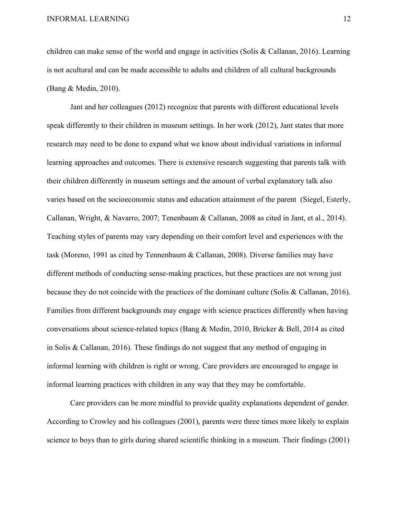children can make sense of the world and engage in activities (Solis & Callanan, 2016). Learning is not acultural and can be made accessible to adults and children of all cultural backgrounds (Bang & Medin, 2010).

Jant and her colleagues (2012) recognize that parents with different educational levels speak differently to their children in museum settings. In her work (2012), Jant states that more research may need to be done to expand what we know about individual variations in informal learning approaches and outcomes. There is extensive research suggesting that parents talk with their children differently in museum settings and the amount of verbal explanatory talk also varies based on the socioeconomic status and education attainment of the parent (Siegel, Esterly, Callanan, Wright, & Navarro, 2007; Tenenbaum & Callanan, 2008 as cited in Jant, et al., 2014). Teaching styles of parents may vary depending on their comfort level and experiences with the task (Moreno, 1991 as cited by Tennenbaum & Callanan, 2008). Diverse families may have different methods of conducting sense-making practices, but these practices are not wrong just because they do not coincide with the practices of the dominant culture (Solis & Callanan, 2016). Families from different backgrounds may engage with science practices differently when having conversations about science-related topics (Bang & Medin, 2010, Bricker & Bell, 2014 as cited in Solis & Callanan, 2016). These findings do not suggest that any method of engaging in informal learning with children is right or wrong. Care providers are encouraged to engage in informal learning practices with children in any way that they may be comfortable.

Care providers can be more mindful to provide quality explanations dependent of gender. According to Crowley and his colleagues (2001), parents were three times more likely to explain science to boys than to girls during shared scientific thinking in a museum. Their findings (2001)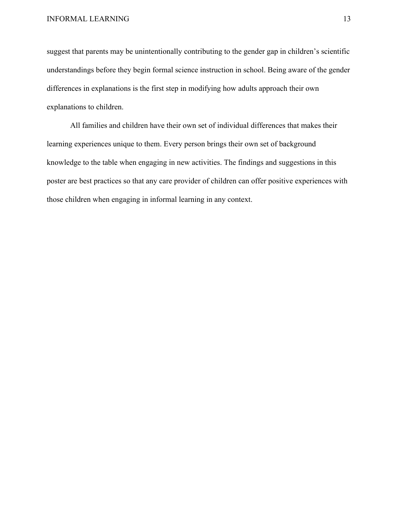suggest that parents may be unintentionally contributing to the gender gap in children's scientific understandings before they begin formal science instruction in school. Being aware of the gender differences in explanations is the first step in modifying how adults approach their own explanations to children.

All families and children have their own set of individual differences that makes their learning experiences unique to them. Every person brings their own set of background knowledge to the table when engaging in new activities. The findings and suggestions in this poster are best practices so that any care provider of children can offer positive experiences with those children when engaging in informal learning in any context.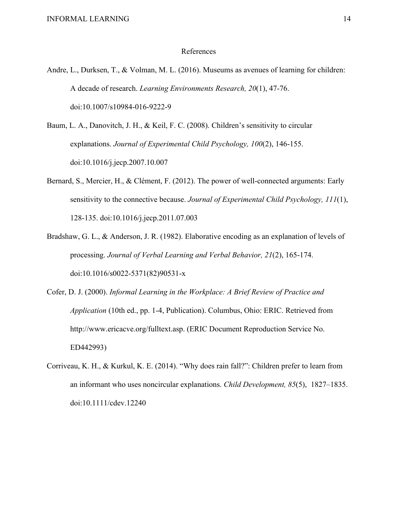#### References

- Andre, L., Durksen, T., & Volman, M. L. (2016). Museums as avenues of learning for children: A decade of research. *Learning Environments Research, 20*(1), 47-76. doi:10.1007/s10984-016-9222-9
- Baum, L. A., Danovitch, J. H., & Keil, F. C. (2008). Children's sensitivity to circular explanations. *Journal of Experimental Child Psychology, 100*(2), 146-155. doi:10.1016/j.jecp.2007.10.007
- Bernard, S., Mercier, H., & Clément, F. (2012). The power of well-connected arguments: Early sensitivity to the connective because. *Journal of Experimental Child Psychology, 111*(1), 128-135. doi:10.1016/j.jecp.2011.07.003
- Bradshaw, G. L., & Anderson, J. R. (1982). Elaborative encoding as an explanation of levels of processing. *Journal of Verbal Learning and Verbal Behavior, 21*(2), 165-174. doi:10.1016/s0022-5371(82)90531-x
- Cofer, D. J. (2000). *Informal Learning in the Workplace: A Brief Review of Practice and Application* (10th ed., pp. 1-4, Publication). Columbus, Ohio: ERIC. Retrieved from http://www.ericacve.org/fulltext.asp. (ERIC Document Reproduction Service No. ED442993)
- Corriveau, K. H., & Kurkul, K. E. (2014). "Why does rain fall?": Children prefer to learn from an informant who uses noncircular explanations. *Child Development, 85*(5), 1827–1835. doi:10.1111/cdev.12240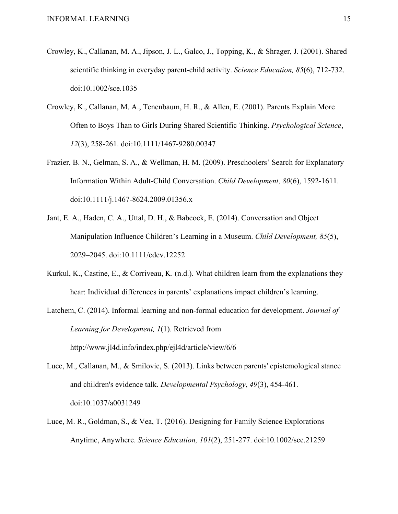- Crowley, K., Callanan, M. A., Jipson, J. L., Galco, J., Topping, K., & Shrager, J. (2001). Shared scientific thinking in everyday parent-child activity. *Science Education, 85*(6), 712-732. doi:10.1002/sce.1035
- Crowley, K., Callanan, M. A., Tenenbaum, H. R., & Allen, E. (2001). Parents Explain More Often to Boys Than to Girls During Shared Scientific Thinking. *Psychological Science*, *12*(3), 258-261. doi:10.1111/1467-9280.00347
- Frazier, B. N., Gelman, S. A., & Wellman, H. M. (2009). Preschoolers' Search for Explanatory Information Within Adult-Child Conversation. *Child Development, 80*(6), 1592-1611. doi:10.1111/j.1467-8624.2009.01356.x
- Jant, E. A., Haden, C. A., Uttal, D. H., & Babcock, E. (2014). Conversation and Object Manipulation Influence Children's Learning in a Museum. *Child Development, 85*(5), 2029–2045. doi:10.1111/cdev.12252
- Kurkul, K., Castine, E., & Corriveau, K. (n.d.). What children learn from the explanations they hear: Individual differences in parents' explanations impact children's learning.
- Latchem, C. (2014). Informal learning and non-formal education for development. *Journal of Learning for Development, 1*(1). Retrieved from http://www.jl4d.info/index.php/ejl4d/article/view/6/6
- Luce, M., Callanan, M., & Smilovic, S. (2013). Links between parents' epistemological stance and children's evidence talk. *Developmental Psychology*, *49*(3), 454-461. doi:10.1037/a0031249
- Luce, M. R., Goldman, S., & Vea, T. (2016). Designing for Family Science Explorations Anytime, Anywhere. *Science Education, 101*(2), 251-277. doi:10.1002/sce.21259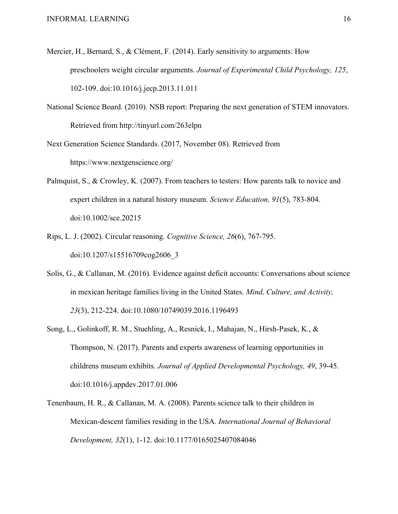- Mercier, H., Bernard, S., & Clément, F. (2014). Early sensitivity to arguments: How preschoolers weight circular arguments. *Journal of Experimental Child Psychology, 125*, 102-109. doi:10.1016/j.jecp.2013.11.011
- National Science Board. (2010). NSB report: Preparing the next generation of STEM innovators. Retrieved from http://tinyurl.com/263elpn

Next Generation Science Standards. (2017, November 08). Retrieved from https://www.nextgenscience.org/

- Palmquist, S., & Crowley, K. (2007). From teachers to testers: How parents talk to novice and expert children in a natural history museum. *Science Education, 91*(5), 783-804. doi:10.1002/sce.20215
- Rips, L. J. (2002). Circular reasoning. *Cognitive Science, 26*(6), 767-795. doi:10.1207/s15516709cog2606\_3
- Solis, G., & Callanan, M. (2016). Evidence against deficit accounts: Conversations about science in mexican heritage families living in the United States. *Mind, Culture, and Activity, 23*(3), 212-224. doi:10.1080/10749039.2016.1196493
- Song, L., Golinkoff, R. M., Stuehling, A., Resnick, I., Mahajan, N., Hirsh-Pasek, K., & Thompson, N. (2017). Parents and experts awareness of learning opportunities in childrens museum exhibits. *Journal of Applied Developmental Psychology, 49*, 39-45. doi:10.1016/j.appdev.2017.01.006
- Tenenbaum, H. R., & Callanan, M. A. (2008). Parents science talk to their children in Mexican-descent families residing in the USA. *International Journal of Behavioral Development, 32*(1), 1-12. doi:10.1177/0165025407084046